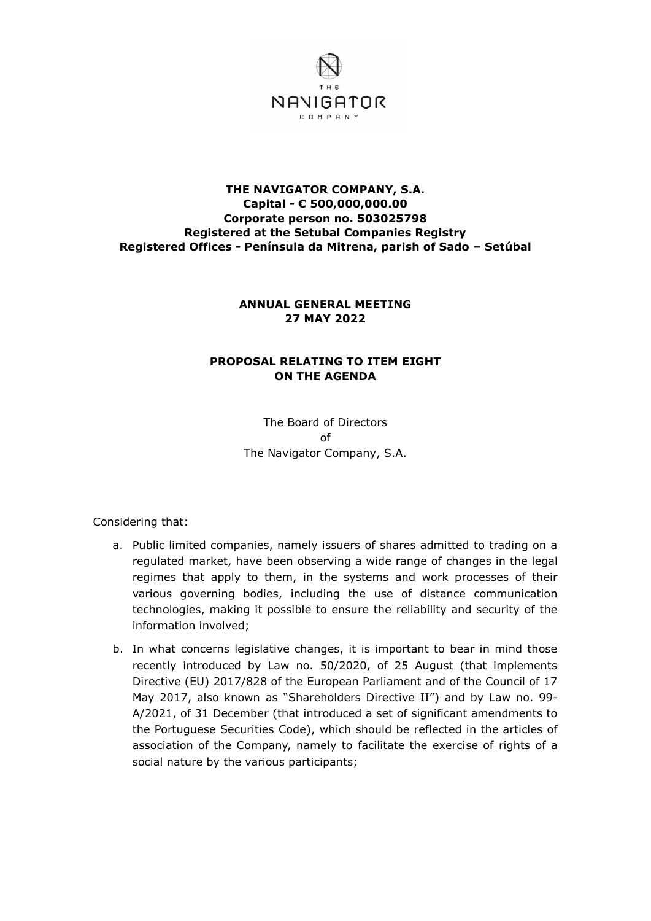

## **THE NAVIGATOR COMPANY, S.A. Capital - € 500,000,000.00 Corporate person no. 503025798 Registered at the Setubal Companies Registry Registered Offices - Península da Mitrena, parish of Sado – Setúbal**

## **ANNUAL GENERAL MEETING 27 MAY 2022**

# **PROPOSAL RELATING TO ITEM EIGHT ON THE AGENDA**

The Board of Directors of The Navigator Company, S.A.

Considering that:

- a. Public limited companies, namely issuers of shares admitted to trading on a regulated market, have been observing a wide range of changes in the legal regimes that apply to them, in the systems and work processes of their various governing bodies, including the use of distance communication technologies, making it possible to ensure the reliability and security of the information involved;
- b. In what concerns legislative changes, it is important to bear in mind those recently introduced by Law no. 50/2020, of 25 August (that implements Directive (EU) 2017/828 of the European Parliament and of the Council of 17 May 2017, also known as "Shareholders Directive II") and by Law no. 99- A/2021, of 31 December (that introduced a set of significant amendments to the Portuguese Securities Code), which should be reflected in the articles of association of the Company, namely to facilitate the exercise of rights of a social nature by the various participants;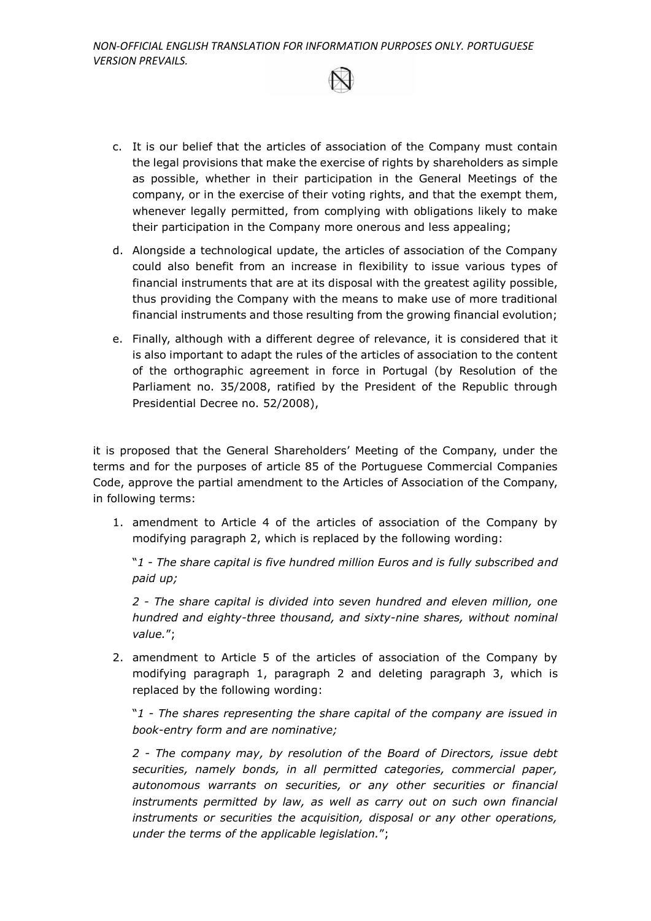

- c. It is our belief that the articles of association of the Company must contain the legal provisions that make the exercise of rights by shareholders as simple as possible, whether in their participation in the General Meetings of the company, or in the exercise of their voting rights, and that the exempt them, whenever legally permitted, from complying with obligations likely to make their participation in the Company more onerous and less appealing;
- d. Alongside a technological update, the articles of association of the Company could also benefit from an increase in flexibility to issue various types of financial instruments that are at its disposal with the greatest agility possible, thus providing the Company with the means to make use of more traditional financial instruments and those resulting from the growing financial evolution;
- e. Finally, although with a different degree of relevance, it is considered that it is also important to adapt the rules of the articles of association to the content of the orthographic agreement in force in Portugal (by Resolution of the Parliament no. 35/2008, ratified by the President of the Republic through Presidential Decree no. 52/2008),

it is proposed that the General Shareholders' Meeting of the Company, under the terms and for the purposes of article 85 of the Portuguese Commercial Companies Code, approve the partial amendment to the Articles of Association of the Company, in following terms:

1. amendment to Article 4 of the articles of association of the Company by modifying paragraph 2, which is replaced by the following wording:

"*1 - The share capital is five hundred million Euros and is fully subscribed and paid up;* 

*2 - The share capital is divided into seven hundred and eleven million, one hundred and eighty-three thousand, and sixty-nine shares, without nominal value.*";

2. amendment to Article 5 of the articles of association of the Company by modifying paragraph 1, paragraph 2 and deleting paragraph 3, which is replaced by the following wording:

"*1 - The shares representing the share capital of the company are issued in book-entry form and are nominative;*

*2 - The company may, by resolution of the Board of Directors, issue debt securities, namely bonds, in all permitted categories, commercial paper, autonomous warrants on securities, or any other securities or financial*  instruments permitted by law, as well as carry out on such own financial *instruments or securities the acquisition, disposal or any other operations, under the terms of the applicable legislation.*";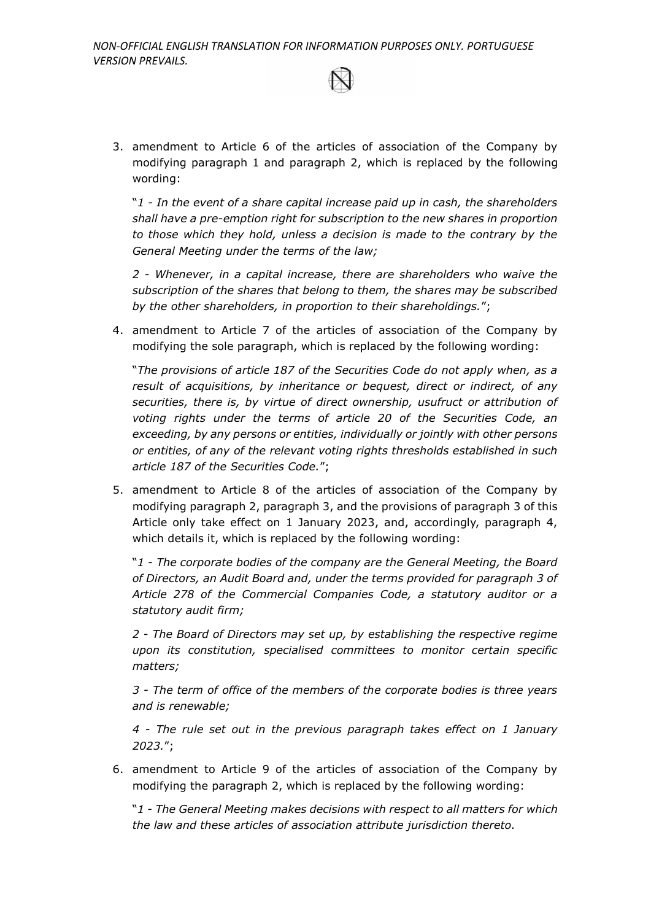3. amendment to Article 6 of the articles of association of the Company by modifying paragraph 1 and paragraph 2, which is replaced by the following wording:

"*1 - In the event of a share capital increase paid up in cash, the shareholders shall have a pre-emption right for subscription to the new shares in proportion to those which they hold, unless a decision is made to the contrary by the General Meeting under the terms of the law;*

*2 - Whenever, in a capital increase, there are shareholders who waive the subscription of the shares that belong to them, the shares may be subscribed by the other shareholders, in proportion to their shareholdings.*";

4. amendment to Article 7 of the articles of association of the Company by modifying the sole paragraph, which is replaced by the following wording:

"*The provisions of article 187 of the Securities Code do not apply when, as a result of acquisitions, by inheritance or bequest, direct or indirect, of any securities, there is, by virtue of direct ownership, usufruct or attribution of voting rights under the terms of article 20 of the Securities Code, an exceeding, by any persons or entities, individually or jointly with other persons or entities, of any of the relevant voting rights thresholds established in such article 187 of the Securities Code.*";

5. amendment to Article 8 of the articles of association of the Company by modifying paragraph 2, paragraph 3, and the provisions of paragraph 3 of this Article only take effect on 1 January 2023, and, accordingly, paragraph 4, which details it, which is replaced by the following wording:

"*1 - The corporate bodies of the company are the General Meeting, the Board of Directors, an Audit Board and, under the terms provided for paragraph 3 of Article 278 of the Commercial Companies Code, a statutory auditor or a statutory audit firm;* 

*2 - The Board of Directors may set up, by establishing the respective regime upon its constitution, specialised committees to monitor certain specific matters;*

*3 - The term of office of the members of the corporate bodies is three years and is renewable;*

*4 - The rule set out in the previous paragraph takes effect on 1 January 2023.*";

6. amendment to Article 9 of the articles of association of the Company by modifying the paragraph 2, which is replaced by the following wording:

"*1 - The General Meeting makes decisions with respect to all matters for which the law and these articles of association attribute jurisdiction thereto.*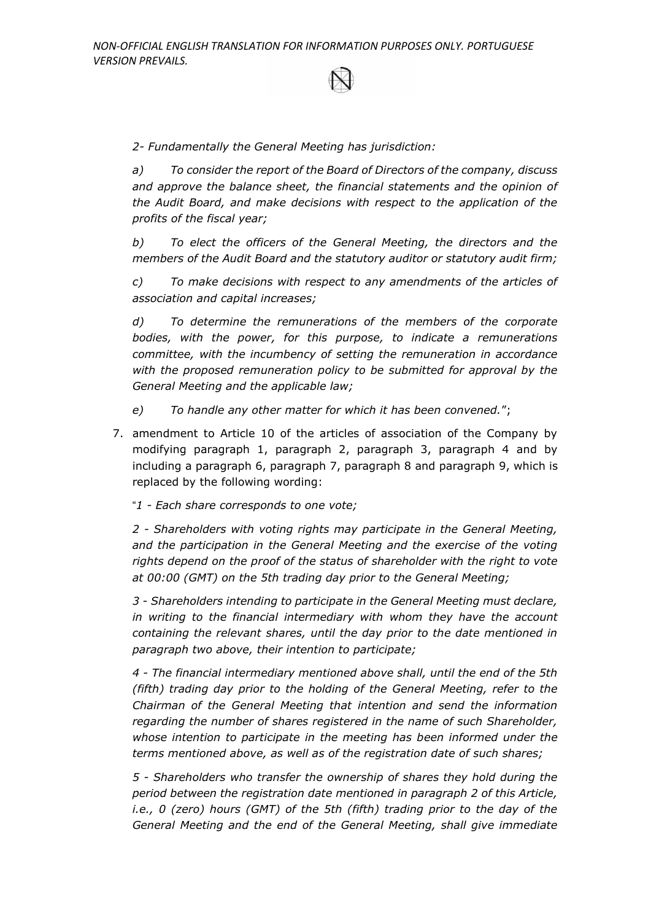*2- Fundamentally the General Meeting has jurisdiction:*

*a) To consider the report of the Board of Directors of the company, discuss and approve the balance sheet, the financial statements and the opinion of the Audit Board, and make decisions with respect to the application of the profits of the fiscal year;* 

*b) To elect the officers of the General Meeting, the directors and the members of the Audit Board and the statutory auditor or statutory audit firm;*

*c) To make decisions with respect to any amendments of the articles of association and capital increases;*

*d) To determine the remunerations of the members of the corporate bodies, with the power, for this purpose, to indicate a remunerations committee, with the incumbency of setting the remuneration in accordance with the proposed remuneration policy to be submitted for approval by the General Meeting and the applicable law;*

*e) To handle any other matter for which it has been convened.*";

7. amendment to Article 10 of the articles of association of the Company by modifying paragraph 1, paragraph 2, paragraph 3, paragraph 4 and by including a paragraph 6, paragraph 7, paragraph 8 and paragraph 9, which is replaced by the following wording:

"*1 - Each share corresponds to one vote;*

*2 - Shareholders with voting rights may participate in the General Meeting,*  and the participation in the General Meeting and the exercise of the voting *rights depend on the proof of the status of shareholder with the right to vote at 00:00 (GMT) on the 5th trading day prior to the General Meeting;*

*3 - Shareholders intending to participate in the General Meeting must declare,*  in writing to the financial intermediary with whom they have the account *containing the relevant shares, until the day prior to the date mentioned in paragraph two above, their intention to participate;*

*4 - The financial intermediary mentioned above shall, until the end of the 5th (fifth) trading day prior to the holding of the General Meeting, refer to the Chairman of the General Meeting that intention and send the information regarding the number of shares registered in the name of such Shareholder, whose intention to participate in the meeting has been informed under the terms mentioned above, as well as of the registration date of such shares;*

*5 - Shareholders who transfer the ownership of shares they hold during the period between the registration date mentioned in paragraph 2 of this Article, i.e., 0 (zero) hours (GMT) of the 5th (fifth) trading prior to the day of the General Meeting and the end of the General Meeting, shall give immediate*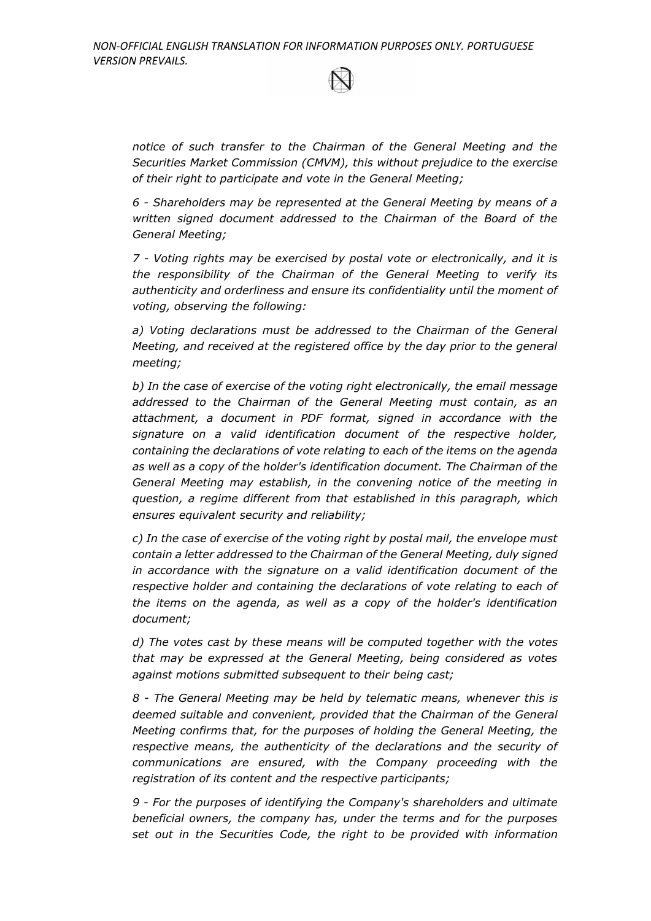*notice of such transfer to the Chairman of the General Meeting and the Securities Market Commission (CMVM), this without prejudice to the exercise of their right to participate and vote in the General Meeting;*

*6 - Shareholders may be represented at the General Meeting by means of a written signed document addressed to the Chairman of the Board of the General Meeting;*

*7 - Voting rights may be exercised by postal vote or electronically, and it is the responsibility of the Chairman of the General Meeting to verify its authenticity and orderliness and ensure its confidentiality until the moment of voting, observing the following:*

*a) Voting declarations must be addressed to the Chairman of the General Meeting, and received at the registered office by the day prior to the general meeting;*

*b) In the case of exercise of the voting right electronically, the email message addressed to the Chairman of the General Meeting must contain, as an attachment, a document in PDF format, signed in accordance with the signature on a valid identification document of the respective holder, containing the declarations of vote relating to each of the items on the agenda as well as a copy of the holder's identification document. The Chairman of the General Meeting may establish, in the convening notice of the meeting in question, a regime different from that established in this paragraph, which ensures equivalent security and reliability;*

*c) In the case of exercise of the voting right by postal mail, the envelope must contain a letter addressed to the Chairman of the General Meeting, duly signed in accordance with the signature on a valid identification document of the respective holder and containing the declarations of vote relating to each of the items on the agenda, as well as a copy of the holder's identification document;*

*d) The votes cast by these means will be computed together with the votes that may be expressed at the General Meeting, being considered as votes against motions submitted subsequent to their being cast;*

*8 - The General Meeting may be held by telematic means, whenever this is deemed suitable and convenient, provided that the Chairman of the General Meeting confirms that, for the purposes of holding the General Meeting, the respective means, the authenticity of the declarations and the security of communications are ensured, with the Company proceeding with the registration of its content and the respective participants;*

*9 - For the purposes of identifying the Company's shareholders and ultimate beneficial owners, the company has, under the terms and for the purposes set out in the Securities Code, the right to be provided with information*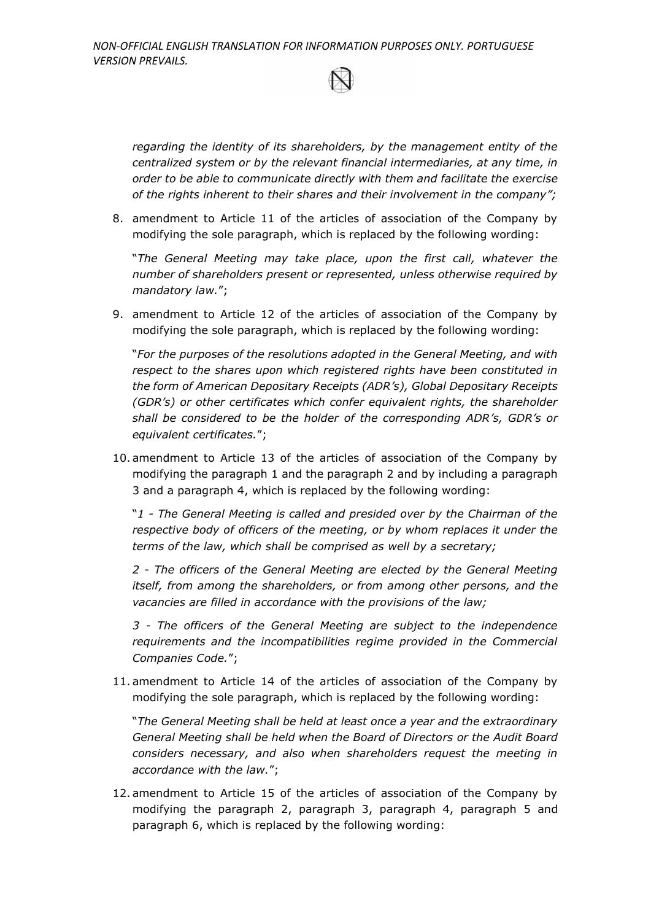*regarding the identity of its shareholders, by the management entity of the centralized system or by the relevant financial intermediaries, at any time, in order to be able to communicate directly with them and facilitate the exercise of the rights inherent to their shares and their involvement in the company";*

8. amendment to Article 11 of the articles of association of the Company by modifying the sole paragraph, which is replaced by the following wording:

"*The General Meeting may take place, upon the first call, whatever the number of shareholders present or represented, unless otherwise required by mandatory law.*";

9. amendment to Article 12 of the articles of association of the Company by modifying the sole paragraph, which is replaced by the following wording:

"*For the purposes of the resolutions adopted in the General Meeting, and with respect to the shares upon which registered rights have been constituted in the form of American Depositary Receipts (ADR's), Global Depositary Receipts (GDR's) or other certificates which confer equivalent rights, the shareholder shall be considered to be the holder of the corresponding ADR's, GDR's or equivalent certificates.*";

10. amendment to Article 13 of the articles of association of the Company by modifying the paragraph 1 and the paragraph 2 and by including a paragraph 3 and a paragraph 4, which is replaced by the following wording:

"*1 - The General Meeting is called and presided over by the Chairman of the respective body of officers of the meeting, or by whom replaces it under the terms of the law, which shall be comprised as well by a secretary;*

*2 - The officers of the General Meeting are elected by the General Meeting itself, from among the shareholders, or from among other persons, and the vacancies are filled in accordance with the provisions of the law;*

*3 - The officers of the General Meeting are subject to the independence requirements and the incompatibilities regime provided in the Commercial Companies Code.*";

11. amendment to Article 14 of the articles of association of the Company by modifying the sole paragraph, which is replaced by the following wording:

"*The General Meeting shall be held at least once a year and the extraordinary General Meeting shall be held when the Board of Directors or the Audit Board considers necessary, and also when shareholders request the meeting in accordance with the law.*";

12. amendment to Article 15 of the articles of association of the Company by modifying the paragraph 2, paragraph 3, paragraph 4, paragraph 5 and paragraph 6, which is replaced by the following wording: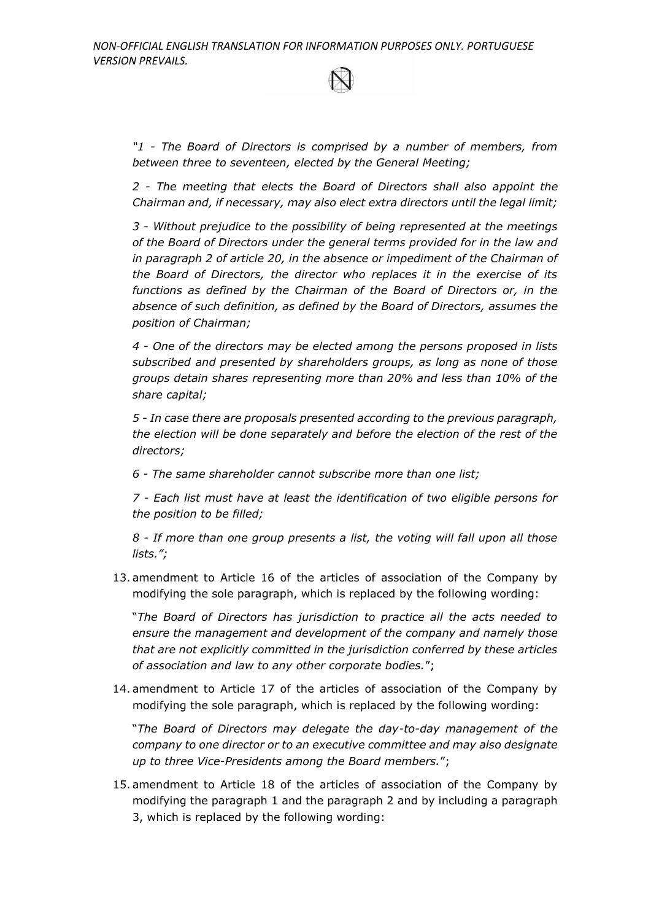*"1 - The Board of Directors is comprised by a number of members, from between three to seventeen, elected by the General Meeting;*

*2 - The meeting that elects the Board of Directors shall also appoint the Chairman and, if necessary, may also elect extra directors until the legal limit;*

*3 - Without prejudice to the possibility of being represented at the meetings of the Board of Directors under the general terms provided for in the law and*  in paragraph 2 of article 20, in the absence or impediment of the Chairman of *the Board of Directors, the director who replaces it in the exercise of its functions as defined by the Chairman of the Board of Directors or, in the absence of such definition, as defined by the Board of Directors, assumes the position of Chairman;*

*4 - One of the directors may be elected among the persons proposed in lists subscribed and presented by shareholders groups, as long as none of those groups detain shares representing more than 20% and less than 10% of the share capital;*

*5 - In case there are proposals presented according to the previous paragraph, the election will be done separately and before the election of the rest of the directors;*

*6 - The same shareholder cannot subscribe more than one list;*

*7 - Each list must have at least the identification of two eligible persons for the position to be filled;*

*8 - If more than one group presents a list, the voting will fall upon all those lists.";*

13. amendment to Article 16 of the articles of association of the Company by modifying the sole paragraph, which is replaced by the following wording:

"*The Board of Directors has jurisdiction to practice all the acts needed to ensure the management and development of the company and namely those that are not explicitly committed in the jurisdiction conferred by these articles of association and law to any other corporate bodies.*";

14. amendment to Article 17 of the articles of association of the Company by modifying the sole paragraph, which is replaced by the following wording:

"*The Board of Directors may delegate the day-to-day management of the company to one director or to an executive committee and may also designate up to three Vice-Presidents among the Board members.*";

15. amendment to Article 18 of the articles of association of the Company by modifying the paragraph 1 and the paragraph 2 and by including a paragraph 3, which is replaced by the following wording: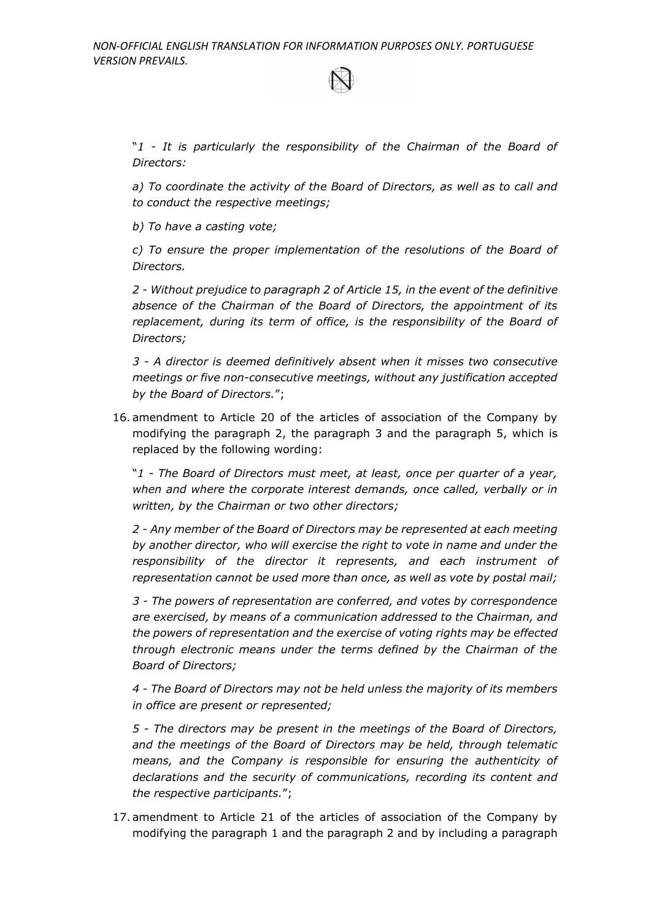"*1 - It is particularly the responsibility of the Chairman of the Board of Directors:*

*a) To coordinate the activity of the Board of Directors, as well as to call and to conduct the respective meetings;*

*b) To have a casting vote;*

*c) To ensure the proper implementation of the resolutions of the Board of Directors.*

*2 - Without prejudice to paragraph 2 of Article 15, in the event of the definitive absence of the Chairman of the Board of Directors, the appointment of its*  replacement, during its term of office, is the responsibility of the Board of *Directors;*

*3 - A director is deemed definitively absent when it misses two consecutive meetings or five non-consecutive meetings, without any justification accepted by the Board of Directors.*";

16. amendment to Article 20 of the articles of association of the Company by modifying the paragraph 2, the paragraph 3 and the paragraph 5, which is replaced by the following wording:

"*1 - The Board of Directors must meet, at least, once per quarter of a year, when and where the corporate interest demands, once called, verbally or in written, by the Chairman or two other directors;*

*2 - Any member of the Board of Directors may be represented at each meeting by another director, who will exercise the right to vote in name and under the responsibility of the director it represents, and each instrument of representation cannot be used more than once, as well as vote by postal mail;*

*3 - The powers of representation are conferred, and votes by correspondence are exercised, by means of a communication addressed to the Chairman, and the powers of representation and the exercise of voting rights may be effected through electronic means under the terms defined by the Chairman of the Board of Directors;* 

*4 - The Board of Directors may not be held unless the majority of its members in office are present or represented;*

*5 - The directors may be present in the meetings of the Board of Directors, and the meetings of the Board of Directors may be held, through telematic means, and the Company is responsible for ensuring the authenticity of declarations and the security of communications, recording its content and the respective participants.*";

17. amendment to Article 21 of the articles of association of the Company by modifying the paragraph 1 and the paragraph 2 and by including a paragraph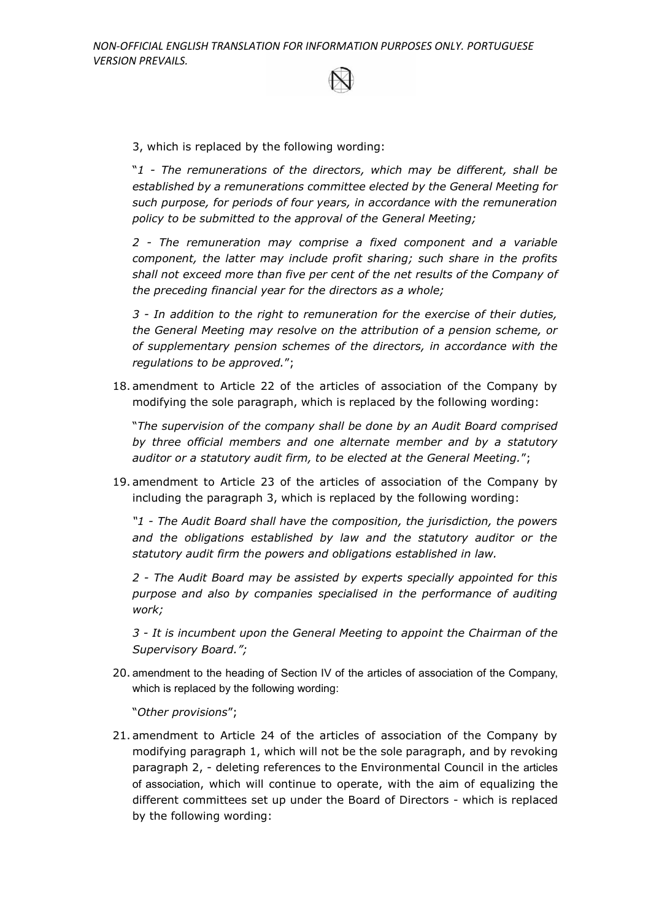3, which is replaced by the following wording:

"*1 - The remunerations of the directors, which may be different, shall be established by a remunerations committee elected by the General Meeting for such purpose, for periods of four years, in accordance with the remuneration policy to be submitted to the approval of the General Meeting;* 

*2 - The remuneration may comprise a fixed component and a variable component, the latter may include profit sharing; such share in the profits shall not exceed more than five per cent of the net results of the Company of the preceding financial year for the directors as a whole;*

*3 - In addition to the right to remuneration for the exercise of their duties, the General Meeting may resolve on the attribution of a pension scheme, or of supplementary pension schemes of the directors, in accordance with the regulations to be approved.*";

18. amendment to Article 22 of the articles of association of the Company by modifying the sole paragraph, which is replaced by the following wording:

"*The supervision of the company shall be done by an Audit Board comprised by three official members and one alternate member and by a statutory auditor or a statutory audit firm, to be elected at the General Meeting.*";

19. amendment to Article 23 of the articles of association of the Company by including the paragraph 3, which is replaced by the following wording:

*"1 - The Audit Board shall have the composition, the jurisdiction, the powers and the obligations established by law and the statutory auditor or the statutory audit firm the powers and obligations established in law.*

*2 - The Audit Board may be assisted by experts specially appointed for this purpose and also by companies specialised in the performance of auditing work;*

*3 - It is incumbent upon the General Meeting to appoint the Chairman of the Supervisory Board.";*

20. amendment to the heading of Section IV of the articles of association of the Company, which is replaced by the following wording:

"*Other provisions*";

21. amendment to Article 24 of the articles of association of the Company by modifying paragraph 1, which will not be the sole paragraph, and by revoking paragraph 2, - deleting references to the Environmental Council in the articles of association, which will continue to operate, with the aim of equalizing the different committees set up under the Board of Directors - which is replaced by the following wording: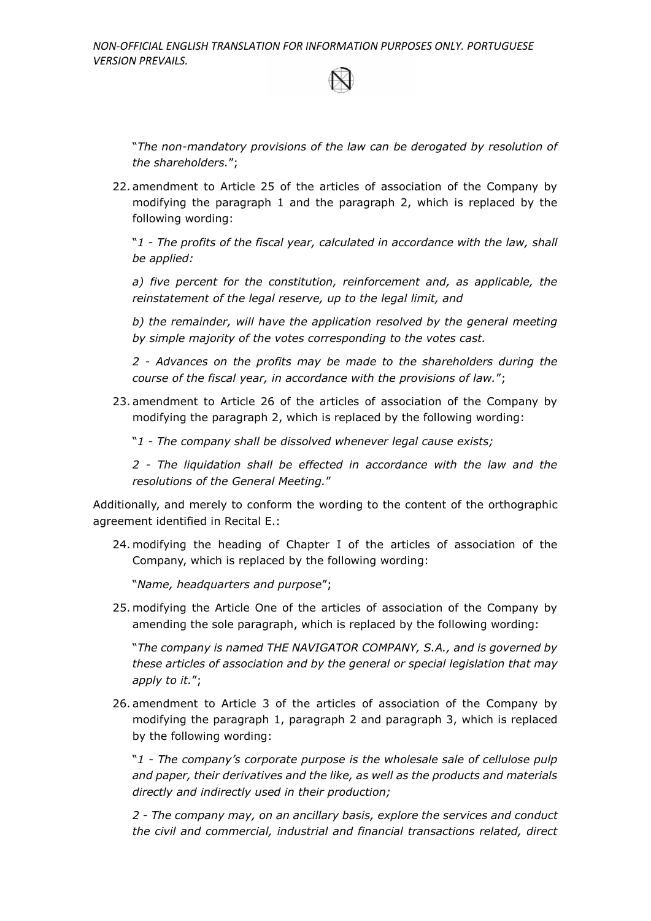"*The non-mandatory provisions of the law can be derogated by resolution of the shareholders.*";

22. amendment to Article 25 of the articles of association of the Company by modifying the paragraph 1 and the paragraph 2, which is replaced by the following wording:

"*1 - The profits of the fiscal year, calculated in accordance with the law, shall be applied:*

*a) five percent for the constitution, reinforcement and, as applicable, the reinstatement of the legal reserve, up to the legal limit, and*

*b) the remainder, will have the application resolved by the general meeting by simple majority of the votes corresponding to the votes cast.*

*2 - Advances on the profits may be made to the shareholders during the course of the fiscal year, in accordance with the provisions of law.*";

23. amendment to Article 26 of the articles of association of the Company by modifying the paragraph 2, which is replaced by the following wording:

"*1 - The company shall be dissolved whenever legal cause exists;*

*2 - The liquidation shall be effected in accordance with the law and the resolutions of the General Meeting.*"

Additionally, and merely to conform the wording to the content of the orthographic agreement identified in Recital E.:

24. modifying the heading of Chapter I of the articles of association of the Company, which is replaced by the following wording:

"*Name, headquarters and purpose*";

25. modifying the Article One of the articles of association of the Company by amending the sole paragraph, which is replaced by the following wording:

"*The company is named THE NAVIGATOR COMPANY, S.A., and is governed by these articles of association and by the general or special legislation that may apply to it.*";

26. amendment to Article 3 of the articles of association of the Company by modifying the paragraph 1, paragraph 2 and paragraph 3, which is replaced by the following wording:

"*1 - The company's corporate purpose is the wholesale sale of cellulose pulp and paper, their derivatives and the like, as well as the products and materials directly and indirectly used in their production;*

*2 - The company may, on an ancillary basis, explore the services and conduct the civil and commercial, industrial and financial transactions related, direct*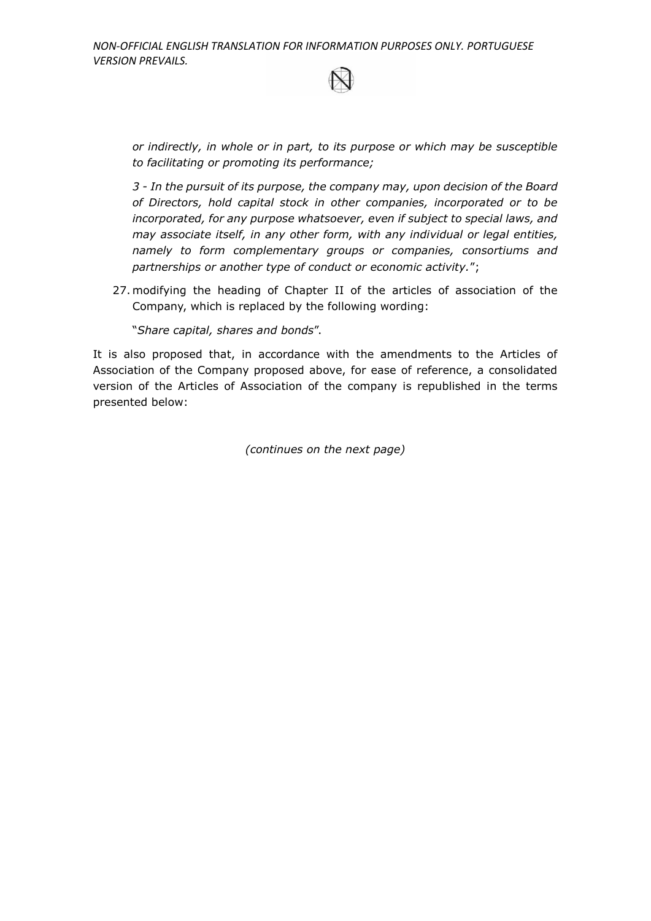*or indirectly, in whole or in part, to its purpose or which may be susceptible to facilitating or promoting its performance;*

*3 - In the pursuit of its purpose, the company may, upon decision of the Board of Directors, hold capital stock in other companies, incorporated or to be incorporated, for any purpose whatsoever, even if subject to special laws, and may associate itself, in any other form, with any individual or legal entities, namely to form complementary groups or companies, consortiums and partnerships or another type of conduct or economic activity.*";

27. modifying the heading of Chapter II of the articles of association of the Company, which is replaced by the following wording:

"*Share capital, shares and bonds*".

It is also proposed that, in accordance with the amendments to the Articles of Association of the Company proposed above, for ease of reference, a consolidated version of the Articles of Association of the company is republished in the terms presented below:

*(continues on the next page)*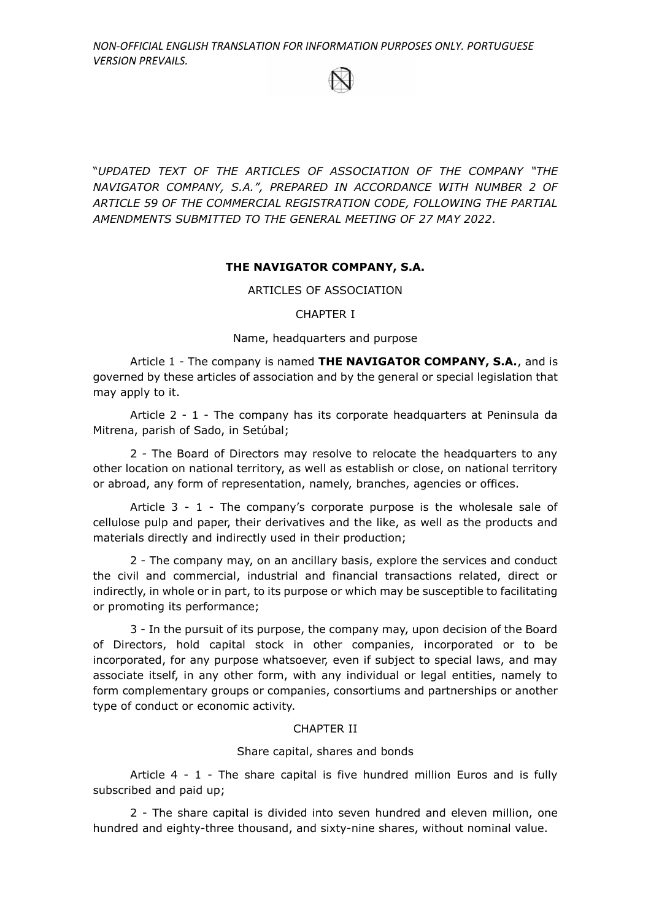"*UPDATED TEXT OF THE ARTICLES OF ASSOCIATION OF THE COMPANY "THE NAVIGATOR COMPANY, S.A.", PREPARED IN ACCORDANCE WITH NUMBER 2 OF ARTICLE 59 OF THE COMMERCIAL REGISTRATION CODE, FOLLOWING THE PARTIAL AMENDMENTS SUBMITTED TO THE GENERAL MEETING OF 27 MAY 2022*.

## **THE NAVIGATOR COMPANY, S.A.**

ARTICLES OF ASSOCIATION

#### CHAPTER I

Name, headquarters and purpose

Article 1 - The company is named **THE NAVIGATOR COMPANY, S.A.**, and is governed by these articles of association and by the general or special legislation that may apply to it.

Article 2 - 1 - The company has its corporate headquarters at Peninsula da Mitrena, parish of Sado, in Setúbal;

2 - The Board of Directors may resolve to relocate the headquarters to any other location on national territory, as well as establish or close, on national territory or abroad, any form of representation, namely, branches, agencies or offices.

Article  $3 - 1$  - The company's corporate purpose is the wholesale sale of cellulose pulp and paper, their derivatives and the like, as well as the products and materials directly and indirectly used in their production;

2 - The company may, on an ancillary basis, explore the services and conduct the civil and commercial, industrial and financial transactions related, direct or indirectly, in whole or in part, to its purpose or which may be susceptible to facilitating or promoting its performance;

3 - In the pursuit of its purpose, the company may, upon decision of the Board of Directors, hold capital stock in other companies, incorporated or to be incorporated, for any purpose whatsoever, even if subject to special laws, and may associate itself, in any other form, with any individual or legal entities, namely to form complementary groups or companies, consortiums and partnerships or another type of conduct or economic activity.

## CHAPTER II

## Share capital, shares and bonds

Article 4 - 1 - The share capital is five hundred million Euros and is fully subscribed and paid up;

2 - The share capital is divided into seven hundred and eleven million, one hundred and eighty-three thousand, and sixty-nine shares, without nominal value.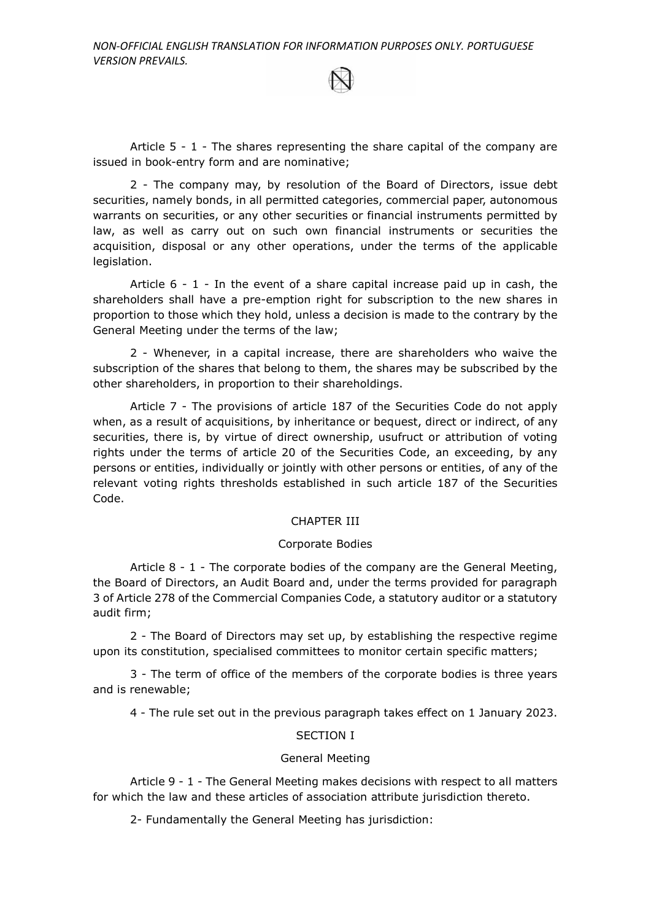Article 5 - 1 - The shares representing the share capital of the company are issued in book-entry form and are nominative;

2 - The company may, by resolution of the Board of Directors, issue debt securities, namely bonds, in all permitted categories, commercial paper, autonomous warrants on securities, or any other securities or financial instruments permitted by law, as well as carry out on such own financial instruments or securities the acquisition, disposal or any other operations, under the terms of the applicable legislation.

Article  $6 - 1$  - In the event of a share capital increase paid up in cash, the shareholders shall have a pre-emption right for subscription to the new shares in proportion to those which they hold, unless a decision is made to the contrary by the General Meeting under the terms of the law;

2 - Whenever, in a capital increase, there are shareholders who waive the subscription of the shares that belong to them, the shares may be subscribed by the other shareholders, in proportion to their shareholdings.

Article 7 - The provisions of article 187 of the Securities Code do not apply when, as a result of acquisitions, by inheritance or bequest, direct or indirect, of any securities, there is, by virtue of direct ownership, usufruct or attribution of voting rights under the terms of article 20 of the Securities Code, an exceeding, by any persons or entities, individually or jointly with other persons or entities, of any of the relevant voting rights thresholds established in such article 187 of the Securities Code.

#### CHAPTER III

### Corporate Bodies

Article 8 - 1 - The corporate bodies of the company are the General Meeting, the Board of Directors, an Audit Board and, under the terms provided for paragraph 3 of Article 278 of the Commercial Companies Code, a statutory auditor or a statutory audit firm;

2 - The Board of Directors may set up, by establishing the respective regime upon its constitution, specialised committees to monitor certain specific matters;

3 - The term of office of the members of the corporate bodies is three years and is renewable;

4 - The rule set out in the previous paragraph takes effect on 1 January 2023.

## SECTION I

#### General Meeting

Article 9 - 1 - The General Meeting makes decisions with respect to all matters for which the law and these articles of association attribute jurisdiction thereto.

2- Fundamentally the General Meeting has jurisdiction: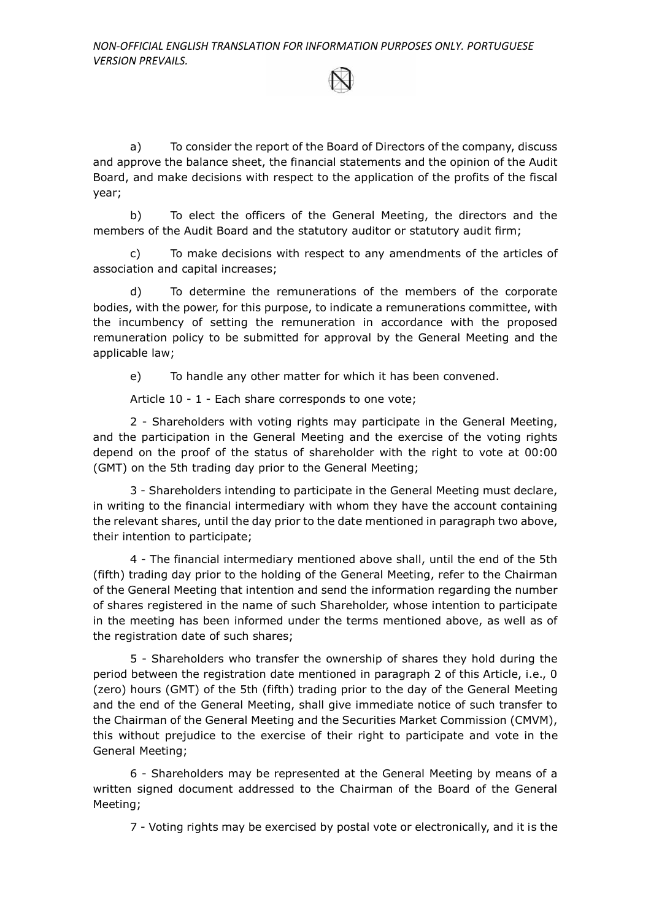a) To consider the report of the Board of Directors of the company, discuss and approve the balance sheet, the financial statements and the opinion of the Audit Board, and make decisions with respect to the application of the profits of the fiscal year;

b) To elect the officers of the General Meeting, the directors and the members of the Audit Board and the statutory auditor or statutory audit firm;

c) To make decisions with respect to any amendments of the articles of association and capital increases;

d) To determine the remunerations of the members of the corporate bodies, with the power, for this purpose, to indicate a remunerations committee, with the incumbency of setting the remuneration in accordance with the proposed remuneration policy to be submitted for approval by the General Meeting and the applicable law;

e) To handle any other matter for which it has been convened.

Article 10 - 1 - Each share corresponds to one vote;

2 - Shareholders with voting rights may participate in the General Meeting, and the participation in the General Meeting and the exercise of the voting rights depend on the proof of the status of shareholder with the right to vote at 00:00 (GMT) on the 5th trading day prior to the General Meeting;

3 - Shareholders intending to participate in the General Meeting must declare, in writing to the financial intermediary with whom they have the account containing the relevant shares, until the day prior to the date mentioned in paragraph two above, their intention to participate;

4 - The financial intermediary mentioned above shall, until the end of the 5th (fifth) trading day prior to the holding of the General Meeting, refer to the Chairman of the General Meeting that intention and send the information regarding the number of shares registered in the name of such Shareholder, whose intention to participate in the meeting has been informed under the terms mentioned above, as well as of the registration date of such shares;

5 - Shareholders who transfer the ownership of shares they hold during the period between the registration date mentioned in paragraph 2 of this Article, i.e., 0 (zero) hours (GMT) of the 5th (fifth) trading prior to the day of the General Meeting and the end of the General Meeting, shall give immediate notice of such transfer to the Chairman of the General Meeting and the Securities Market Commission (CMVM), this without prejudice to the exercise of their right to participate and vote in the General Meeting;

6 - Shareholders may be represented at the General Meeting by means of a written signed document addressed to the Chairman of the Board of the General Meeting;

7 - Voting rights may be exercised by postal vote or electronically, and it is the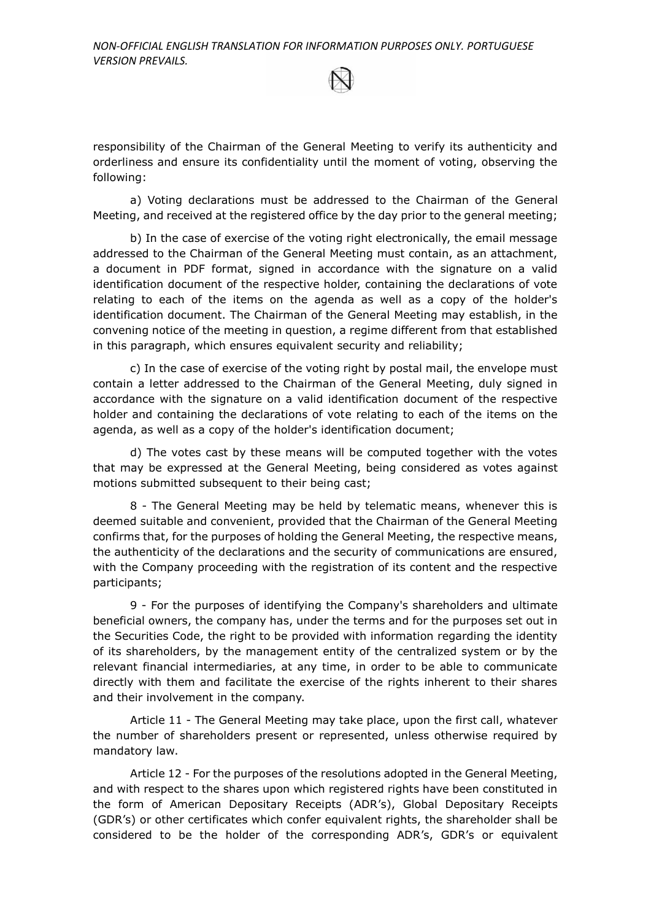responsibility of the Chairman of the General Meeting to verify its authenticity and orderliness and ensure its confidentiality until the moment of voting, observing the following:

a) Voting declarations must be addressed to the Chairman of the General Meeting, and received at the registered office by the day prior to the general meeting;

b) In the case of exercise of the voting right electronically, the email message addressed to the Chairman of the General Meeting must contain, as an attachment, a document in PDF format, signed in accordance with the signature on a valid identification document of the respective holder, containing the declarations of vote relating to each of the items on the agenda as well as a copy of the holder's identification document. The Chairman of the General Meeting may establish, in the convening notice of the meeting in question, a regime different from that established in this paragraph, which ensures equivalent security and reliability;

c) In the case of exercise of the voting right by postal mail, the envelope must contain a letter addressed to the Chairman of the General Meeting, duly signed in accordance with the signature on a valid identification document of the respective holder and containing the declarations of vote relating to each of the items on the agenda, as well as a copy of the holder's identification document;

d) The votes cast by these means will be computed together with the votes that may be expressed at the General Meeting, being considered as votes against motions submitted subsequent to their being cast;

8 - The General Meeting may be held by telematic means, whenever this is deemed suitable and convenient, provided that the Chairman of the General Meeting confirms that, for the purposes of holding the General Meeting, the respective means, the authenticity of the declarations and the security of communications are ensured, with the Company proceeding with the registration of its content and the respective participants;

9 - For the purposes of identifying the Company's shareholders and ultimate beneficial owners, the company has, under the terms and for the purposes set out in the Securities Code, the right to be provided with information regarding the identity of its shareholders, by the management entity of the centralized system or by the relevant financial intermediaries, at any time, in order to be able to communicate directly with them and facilitate the exercise of the rights inherent to their shares and their involvement in the company.

Article 11 - The General Meeting may take place, upon the first call, whatever the number of shareholders present or represented, unless otherwise required by mandatory law.

Article 12 - For the purposes of the resolutions adopted in the General Meeting, and with respect to the shares upon which registered rights have been constituted in the form of American Depositary Receipts (ADR's), Global Depositary Receipts (GDR's) or other certificates which confer equivalent rights, the shareholder shall be considered to be the holder of the corresponding ADR's, GDR's or equivalent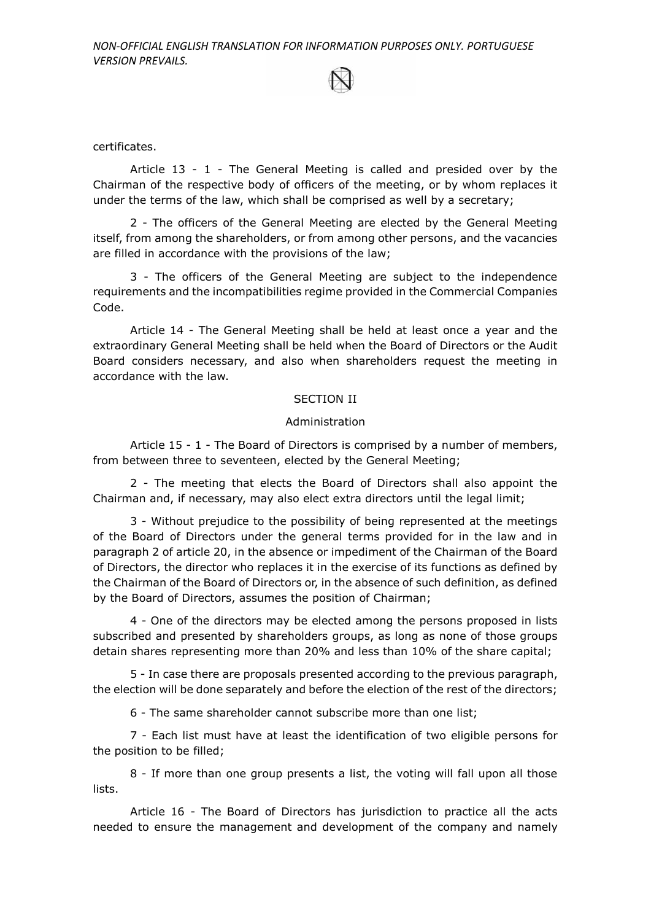certificates.

Article 13 - 1 - The General Meeting is called and presided over by the Chairman of the respective body of officers of the meeting, or by whom replaces it under the terms of the law, which shall be comprised as well by a secretary;

2 - The officers of the General Meeting are elected by the General Meeting itself, from among the shareholders, or from among other persons, and the vacancies are filled in accordance with the provisions of the law;

3 - The officers of the General Meeting are subject to the independence requirements and the incompatibilities regime provided in the Commercial Companies Code.

Article 14 - The General Meeting shall be held at least once a year and the extraordinary General Meeting shall be held when the Board of Directors or the Audit Board considers necessary, and also when shareholders request the meeting in accordance with the law.

#### SECTION II

#### Administration

Article 15 - 1 - The Board of Directors is comprised by a number of members, from between three to seventeen, elected by the General Meeting;

2 - The meeting that elects the Board of Directors shall also appoint the Chairman and, if necessary, may also elect extra directors until the legal limit;

3 - Without prejudice to the possibility of being represented at the meetings of the Board of Directors under the general terms provided for in the law and in paragraph 2 of article 20, in the absence or impediment of the Chairman of the Board of Directors, the director who replaces it in the exercise of its functions as defined by the Chairman of the Board of Directors or, in the absence of such definition, as defined by the Board of Directors, assumes the position of Chairman;

4 - One of the directors may be elected among the persons proposed in lists subscribed and presented by shareholders groups, as long as none of those groups detain shares representing more than 20% and less than 10% of the share capital;

5 - In case there are proposals presented according to the previous paragraph, the election will be done separately and before the election of the rest of the directors;

6 - The same shareholder cannot subscribe more than one list;

7 - Each list must have at least the identification of two eligible persons for the position to be filled;

8 - If more than one group presents a list, the voting will fall upon all those lists.

Article 16 - The Board of Directors has jurisdiction to practice all the acts needed to ensure the management and development of the company and namely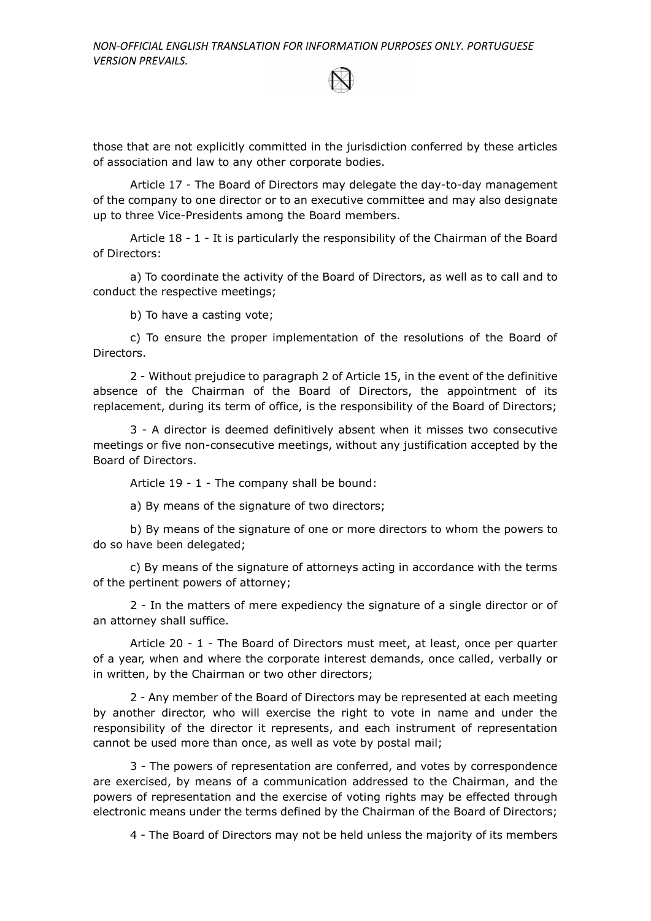those that are not explicitly committed in the jurisdiction conferred by these articles of association and law to any other corporate bodies.

Article 17 - The Board of Directors may delegate the day-to-day management of the company to one director or to an executive committee and may also designate up to three Vice-Presidents among the Board members.

Article 18 - 1 - It is particularly the responsibility of the Chairman of the Board of Directors:

a) To coordinate the activity of the Board of Directors, as well as to call and to conduct the respective meetings;

b) To have a casting vote;

c) To ensure the proper implementation of the resolutions of the Board of Directors.

2 - Without prejudice to paragraph 2 of Article 15, in the event of the definitive absence of the Chairman of the Board of Directors, the appointment of its replacement, during its term of office, is the responsibility of the Board of Directors;

3 - A director is deemed definitively absent when it misses two consecutive meetings or five non-consecutive meetings, without any justification accepted by the Board of Directors.

Article 19 - 1 - The company shall be bound:

a) By means of the signature of two directors;

b) By means of the signature of one or more directors to whom the powers to do so have been delegated;

c) By means of the signature of attorneys acting in accordance with the terms of the pertinent powers of attorney;

2 - In the matters of mere expediency the signature of a single director or of an attorney shall suffice.

Article 20 - 1 - The Board of Directors must meet, at least, once per quarter of a year, when and where the corporate interest demands, once called, verbally or in written, by the Chairman or two other directors;

2 - Any member of the Board of Directors may be represented at each meeting by another director, who will exercise the right to vote in name and under the responsibility of the director it represents, and each instrument of representation cannot be used more than once, as well as vote by postal mail;

3 - The powers of representation are conferred, and votes by correspondence are exercised, by means of a communication addressed to the Chairman, and the powers of representation and the exercise of voting rights may be effected through electronic means under the terms defined by the Chairman of the Board of Directors;

4 - The Board of Directors may not be held unless the majority of its members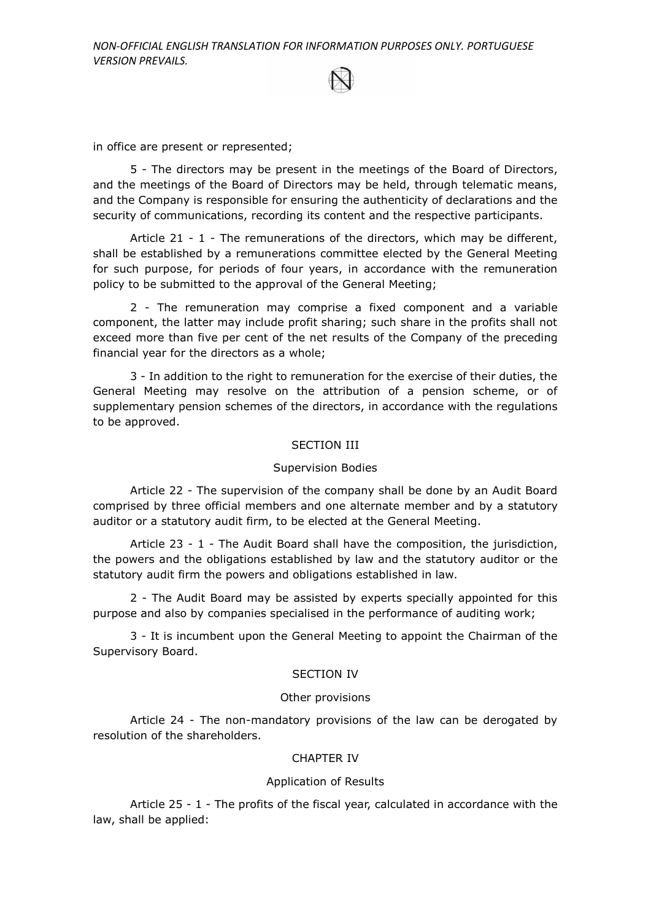in office are present or represented;

5 - The directors may be present in the meetings of the Board of Directors, and the meetings of the Board of Directors may be held, through telematic means, and the Company is responsible for ensuring the authenticity of declarations and the security of communications, recording its content and the respective participants.

Article 21 - 1 - The remunerations of the directors, which may be different, shall be established by a remunerations committee elected by the General Meeting for such purpose, for periods of four years, in accordance with the remuneration policy to be submitted to the approval of the General Meeting;

2 - The remuneration may comprise a fixed component and a variable component, the latter may include profit sharing; such share in the profits shall not exceed more than five per cent of the net results of the Company of the preceding financial year for the directors as a whole;

3 - In addition to the right to remuneration for the exercise of their duties, the General Meeting may resolve on the attribution of a pension scheme, or of supplementary pension schemes of the directors, in accordance with the regulations to be approved.

## SECTION III

#### Supervision Bodies

Article 22 - The supervision of the company shall be done by an Audit Board comprised by three official members and one alternate member and by a statutory auditor or a statutory audit firm, to be elected at the General Meeting.

Article 23 - 1 - The Audit Board shall have the composition, the jurisdiction, the powers and the obligations established by law and the statutory auditor or the statutory audit firm the powers and obligations established in law.

2 - The Audit Board may be assisted by experts specially appointed for this purpose and also by companies specialised in the performance of auditing work;

3 - It is incumbent upon the General Meeting to appoint the Chairman of the Supervisory Board.

#### SECTION IV

#### Other provisions

Article 24 - The non-mandatory provisions of the law can be derogated by resolution of the shareholders.

### CHAPTER IV

#### Application of Results

Article 25 - 1 - The profits of the fiscal year, calculated in accordance with the law, shall be applied: